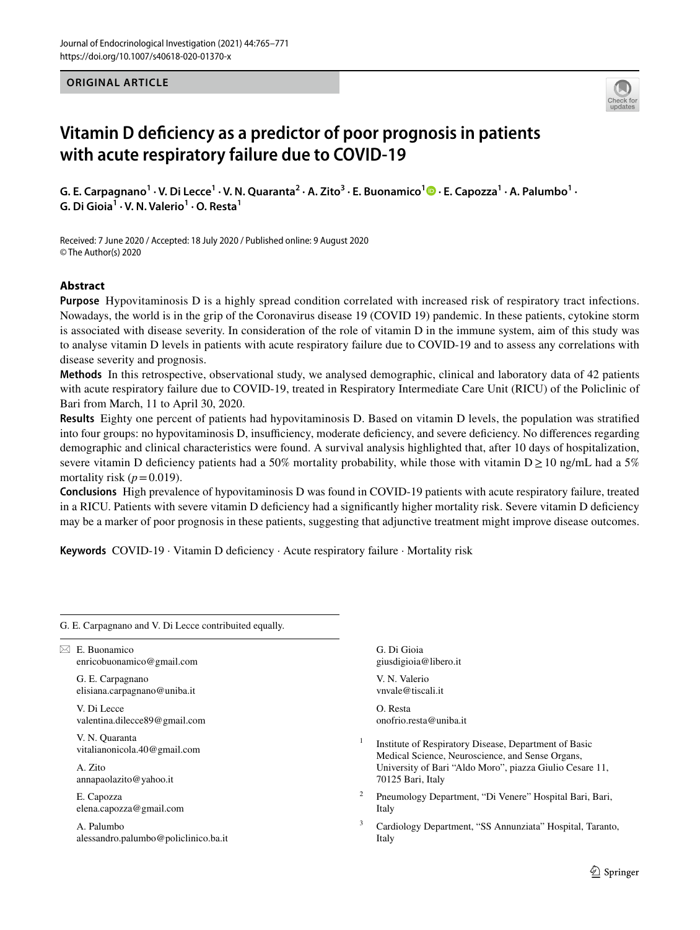**ORIGINAL ARTICLE**



# **Vitamin D defciency as a predictor of poor prognosis in patients with acute respiratory failure due to COVID‑19**

**G. E. Carpagnano<sup>1</sup> · V. Di Lecce<sup>1</sup> · V. N. Quaranta2 · A. Zito<sup>3</sup> · E. Buonamico1 · E. Capozza1 · A. Palumbo1 · G. Di Gioia<sup>1</sup> · V. N. Valerio1 · O. Resta1**

Received: 7 June 2020 / Accepted: 18 July 2020 / Published online: 9 August 2020 © The Author(s) 2020

## **Abstract**

**Purpose** Hypovitaminosis D is a highly spread condition correlated with increased risk of respiratory tract infections. Nowadays, the world is in the grip of the Coronavirus disease 19 (COVID 19) pandemic. In these patients, cytokine storm is associated with disease severity. In consideration of the role of vitamin D in the immune system, aim of this study was to analyse vitamin D levels in patients with acute respiratory failure due to COVID-19 and to assess any correlations with disease severity and prognosis.

**Methods** In this retrospective, observational study, we analysed demographic, clinical and laboratory data of 42 patients with acute respiratory failure due to COVID-19, treated in Respiratory Intermediate Care Unit (RICU) of the Policlinic of Bari from March, 11 to April 30, 2020.

**Results** Eighty one percent of patients had hypovitaminosis D. Based on vitamin D levels, the population was stratifed into four groups: no hypovitaminosis D, insufficiency, moderate deficiency, and severe deficiency. No differences regarding demographic and clinical characteristics were found. A survival analysis highlighted that, after 10 days of hospitalization, severe vitamin D deficiency patients had a 50% mortality probability, while those with vitamin D  $\geq$  10 ng/mL had a 5% mortality risk  $(p=0.019)$ .

**Conclusions** High prevalence of hypovitaminosis D was found in COVID-19 patients with acute respiratory failure, treated in a RICU. Patients with severe vitamin D defciency had a signifcantly higher mortality risk. Severe vitamin D defciency may be a marker of poor prognosis in these patients, suggesting that adjunctive treatment might improve disease outcomes.

**Keywords** COVID-19 · Vitamin D defciency · Acute respiratory failure · Mortality risk

G. E. Carpagnano and V. Di Lecce contribuited equally.

 $\boxtimes$  E. Buonamico enricobuonamico@gmail.com

> G. E. Carpagnano elisiana.carpagnano@uniba.it

V. Di Lecce valentina.dilecce89@gmail.com

V. N. Quaranta vitalianonicola.40@gmail.com

A. Zito annapaolazito@yahoo.it

E. Capozza elena.capozza@gmail.com

A. Palumbo alessandro.palumbo@policlinico.ba.it G. Di Gioia giusdigioia@libero.it V. N. Valerio vnvale@tiscali.it

O. Resta onofrio.resta@uniba.it

- Institute of Respiratory Disease, Department of Basic Medical Science, Neuroscience, and Sense Organs, University of Bari "Aldo Moro", piazza Giulio Cesare 11, 70125 Bari, Italy
- <sup>2</sup> Pneumology Department, "Di Venere" Hospital Bari, Bari, Italy
- <sup>3</sup> Cardiology Department, "SS Annunziata" Hospital, Taranto, Italy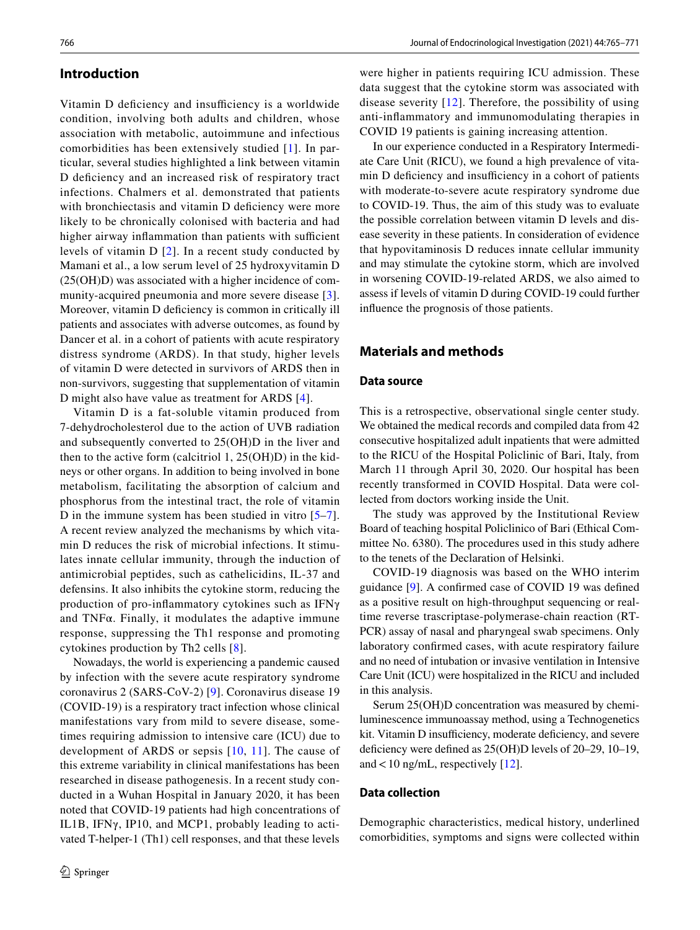## **Introduction**

Vitamin D deficiency and insufficiency is a worldwide condition, involving both adults and children, whose association with metabolic, autoimmune and infectious comorbidities has been extensively studied [[1](#page-6-0)]. In particular, several studies highlighted a link between vitamin D deficiency and an increased risk of respiratory tract infections. Chalmers et al. demonstrated that patients with bronchiectasis and vitamin D deficiency were more likely to be chronically colonised with bacteria and had higher airway inflammation than patients with sufficient levels of vitamin D [\[2\]](#page-6-1). In a recent study conducted by Mamani et al., a low serum level of 25 hydroxyvitamin D (25(OH)D) was associated with a higher incidence of community-acquired pneumonia and more severe disease [[3](#page-6-2)]. Moreover, vitamin D deficiency is common in critically ill patients and associates with adverse outcomes, as found by Dancer et al. in a cohort of patients with acute respiratory distress syndrome (ARDS). In that study, higher levels of vitamin D were detected in survivors of ARDS then in non-survivors, suggesting that supplementation of vitamin D might also have value as treatment for ARDS [\[4](#page-6-3)].

Vitamin D is a fat-soluble vitamin produced from 7-dehydrocholesterol due to the action of UVB radiation and subsequently converted to 25(OH)D in the liver and then to the active form (calcitriol 1, 25(OH)D) in the kidneys or other organs. In addition to being involved in bone metabolism, facilitating the absorption of calcium and phosphorus from the intestinal tract, the role of vitamin D in the immune system has been studied in vitro [\[5–](#page-6-4)[7](#page-6-5)]. A recent review analyzed the mechanisms by which vitamin D reduces the risk of microbial infections. It stimulates innate cellular immunity, through the induction of antimicrobial peptides, such as cathelicidins, IL-37 and defensins. It also inhibits the cytokine storm, reducing the production of pro-infammatory cytokines such as IFNγ and  $TNF\alpha$ . Finally, it modulates the adaptive immune response, suppressing the Th1 response and promoting cytokines production by Th2 cells [[8\]](#page-6-6).

Nowadays, the world is experiencing a pandemic caused by infection with the severe acute respiratory syndrome coronavirus 2 (SARS-CoV-2) [\[9](#page-6-7)]. Coronavirus disease 19 (COVID-19) is a respiratory tract infection whose clinical manifestations vary from mild to severe disease, sometimes requiring admission to intensive care (ICU) due to development of ARDS or sepsis [[10,](#page-6-8) [11](#page-6-9)]. The cause of this extreme variability in clinical manifestations has been researched in disease pathogenesis. In a recent study conducted in a Wuhan Hospital in January 2020, it has been noted that COVID-19 patients had high concentrations of IL1B, IFNγ, IP10, and MCP1, probably leading to activated T-helper-1 (Th1) cell responses, and that these levels

were higher in patients requiring ICU admission. These data suggest that the cytokine storm was associated with disease severity [[12](#page-6-10)]. Therefore, the possibility of using anti-infammatory and immunomodulating therapies in COVID 19 patients is gaining increasing attention.

In our experience conducted in a Respiratory Intermediate Care Unit (RICU), we found a high prevalence of vitamin D deficiency and insufficiency in a cohort of patients with moderate-to-severe acute respiratory syndrome due to COVID-19. Thus, the aim of this study was to evaluate the possible correlation between vitamin D levels and disease severity in these patients. In consideration of evidence that hypovitaminosis D reduces innate cellular immunity and may stimulate the cytokine storm, which are involved in worsening COVID-19-related ARDS, we also aimed to assess if levels of vitamin D during COVID-19 could further infuence the prognosis of those patients.

## **Materials and methods**

#### **Data source**

This is a retrospective, observational single center study. We obtained the medical records and compiled data from 42 consecutive hospitalized adult inpatients that were admitted to the RICU of the Hospital Policlinic of Bari, Italy, from March 11 through April 30, 2020. Our hospital has been recently transformed in COVID Hospital. Data were collected from doctors working inside the Unit.

The study was approved by the Institutional Review Board of teaching hospital Policlinico of Bari (Ethical Committee No. 6380). The procedures used in this study adhere to the tenets of the Declaration of Helsinki.

COVID-19 diagnosis was based on the WHO interim guidance [[9](#page-6-7)]. A confrmed case of COVID 19 was defned as a positive result on high-throughput sequencing or realtime reverse trascriptase-polymerase-chain reaction (RT-PCR) assay of nasal and pharyngeal swab specimens. Only laboratory confrmed cases, with acute respiratory failure and no need of intubation or invasive ventilation in Intensive Care Unit (ICU) were hospitalized in the RICU and included in this analysis.

Serum 25(OH)D concentration was measured by chemiluminescence immunoassay method, using a Technogenetics kit. Vitamin D insufficiency, moderate deficiency, and severe deficiency were defined as  $25(OH)D$  levels of 20–29, 10–19, and  $<$  10 ng/mL, respectively [[12](#page-6-10)].

#### **Data collection**

Demographic characteristics, medical history, underlined comorbidities, symptoms and signs were collected within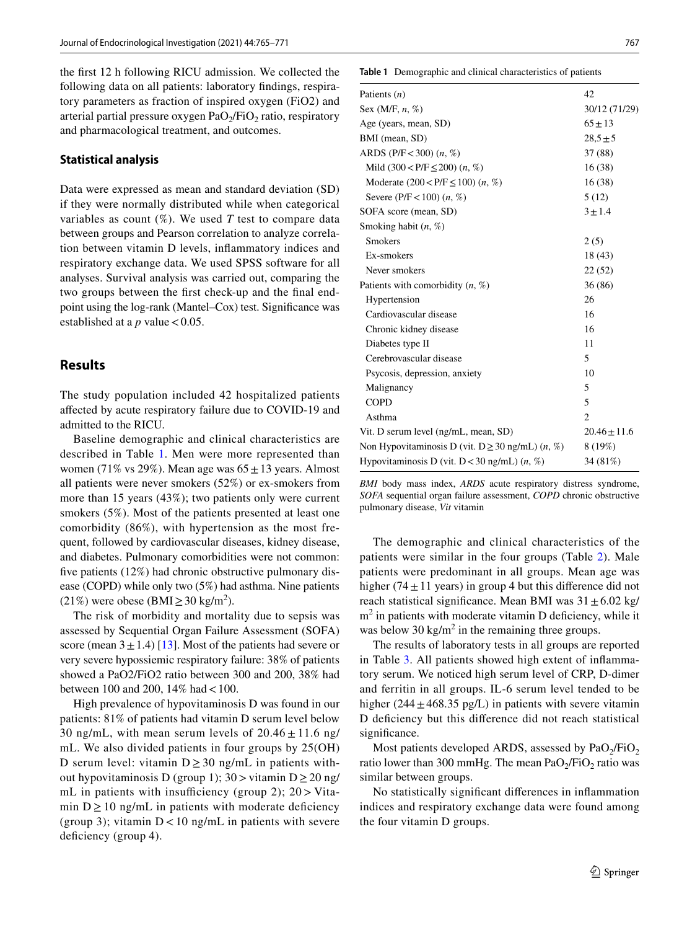the frst 12 h following RICU admission. We collected the following data on all patients: laboratory fndings, respiratory parameters as fraction of inspired oxygen (FiO2) and arterial partial pressure oxygen  $PaO<sub>2</sub>/FiO<sub>2</sub>$  ratio, respiratory and pharmacological treatment, and outcomes.

### **Statistical analysis**

Data were expressed as mean and standard deviation (SD) if they were normally distributed while when categorical variables as count (%). We used *T* test to compare data between groups and Pearson correlation to analyze correlation between vitamin D levels, infammatory indices and respiratory exchange data. We used SPSS software for all analyses. Survival analysis was carried out, comparing the two groups between the frst check-up and the fnal endpoint using the log-rank (Mantel–Cox) test. Signifcance was established at a *p* value  $< 0.05$ .

## **Results**

The study population included 42 hospitalized patients afected by acute respiratory failure due to COVID-19 and admitted to the RICU.

Baseline demographic and clinical characteristics are described in Table [1](#page-2-0). Men were more represented than women (71% vs 29%). Mean age was  $65 \pm 13$  years. Almost all patients were never smokers (52%) or ex-smokers from more than 15 years (43%); two patients only were current smokers (5%). Most of the patients presented at least one comorbidity (86%), with hypertension as the most frequent, followed by cardiovascular diseases, kidney disease, and diabetes. Pulmonary comorbidities were not common: five patients (12%) had chronic obstructive pulmonary disease (COPD) while only two (5%) had asthma. Nine patients (21%) were obese (BMI $\geq$  30 kg/m<sup>2</sup>).

The risk of morbidity and mortality due to sepsis was assessed by Sequential Organ Failure Assessment (SOFA) score (mean  $3 \pm 1.4$ ) [\[13](#page-6-11)]. Most of the patients had severe or very severe hypossiemic respiratory failure: 38% of patients showed a PaO2/FiO2 ratio between 300 and 200, 38% had between 100 and 200, 14% had  $< 100$ .

High prevalence of hypovitaminosis D was found in our patients: 81% of patients had vitamin D serum level below 30 ng/mL, with mean serum levels of  $20.46 \pm 11.6$  ng/ mL. We also divided patients in four groups by 25(OH) D serum level: vitamin  $D \geq 30$  ng/mL in patients without hypovitaminosis D (group 1);  $30 > \text{vitamin } D \geq 20 \text{ ng/}$ mL in patients with insufficiency (group 2);  $20 > \text{Vita}$ min  $D \ge 10$  ng/mL in patients with moderate deficiency (group 3); vitamin  $D < 10$  ng/mL in patients with severe deficiency (group 4).

<span id="page-2-0"></span>**Table 1** Demographic and clinical characteristics of patients

| 42               |
|------------------|
| 30/12 (71/29)    |
| $65 \pm 13$      |
| $28.5 \pm 5$     |
| 37 (88)          |
| 16(38)           |
| 16(38)           |
| 5(12)            |
| $3 + 1.4$        |
|                  |
| 2(5)             |
| 18 (43)          |
| 22(52)           |
| 36(86)           |
| 26               |
| 16               |
| 16               |
| 11               |
| 5                |
| 10               |
| 5                |
| 5                |
| $\overline{c}$   |
| $20.46 \pm 11.6$ |
| 8 (19%)          |
| 34 (81%)         |
|                  |

*BMI* body mass index, *ARDS* acute respiratory distress syndrome, *SOFA* sequential organ failure assessment, *COPD* chronic obstructive pulmonary disease, *Vit* vitamin

The demographic and clinical characteristics of the patients were similar in the four groups (Table [2\)](#page-3-0). Male patients were predominant in all groups. Mean age was higher (74 $\pm$ 11 years) in group 4 but this difference did not reach statistical significance. Mean BMI was  $31 \pm 6.02$  kg/  $m<sup>2</sup>$  in patients with moderate vitamin D deficiency, while it was below 30 kg/ $m^2$  in the remaining three groups.

The results of laboratory tests in all groups are reported in Table [3.](#page-4-0) All patients showed high extent of infammatory serum. We noticed high serum level of CRP, D-dimer and ferritin in all groups. IL-6 serum level tended to be higher (244 $\pm$ 468.35 pg/L) in patients with severe vitamin D defciency but this diference did not reach statistical significance.

Most patients developed ARDS, assessed by  $PaO<sub>2</sub>/FiO<sub>2</sub>$ ratio lower than 300 mmHg. The mean  $PaO<sub>2</sub>/FiO<sub>2</sub>$  ratio was similar between groups.

No statistically signifcant diferences in infammation indices and respiratory exchange data were found among the four vitamin D groups.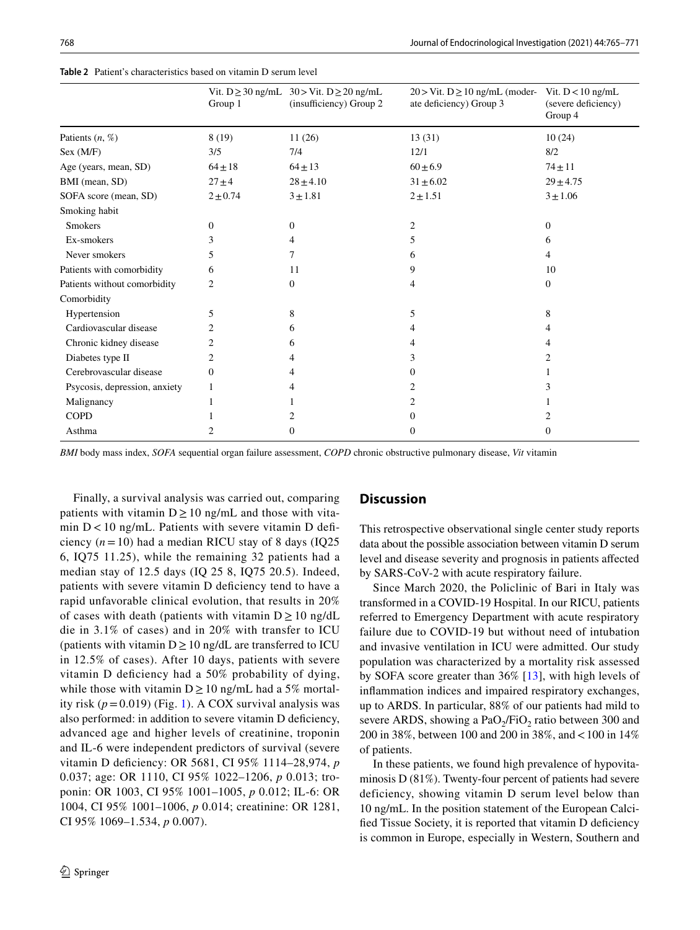|                               | Group 1      | Vit. $D \ge 30$ ng/mL $30 >$ Vit. $D \ge 20$ ng/mL<br>(insufficiency) Group 2 | $20 > \text{V}$ it. $D \ge 10$ ng/mL (moder-<br>ate deficiency) Group 3 | Vit. $D < 10$ ng/mL<br>(severe deficiency)<br>Group 4 |
|-------------------------------|--------------|-------------------------------------------------------------------------------|-------------------------------------------------------------------------|-------------------------------------------------------|
| Patients $(n, \%)$            | 8(19)        | 11(26)                                                                        | 13(31)                                                                  | 10(24)                                                |
| Sex (M/F)                     | 3/5          | 7/4                                                                           | 12/1                                                                    | 8/2                                                   |
| Age (years, mean, SD)         | $64 \pm 18$  | $64 \pm 13$                                                                   | $60 + 6.9$                                                              | $74 \pm 11$                                           |
| BMI (mean, SD)                | $27 + 4$     | $28 \pm 4.10$                                                                 | $31 \pm 6.02$                                                           | $29 + 4.75$                                           |
| SOFA score (mean, SD)         | $2 \pm 0.74$ | $3 + 1.81$                                                                    | $2 + 1.51$                                                              | $3 + 1.06$                                            |
| Smoking habit                 |              |                                                                               |                                                                         |                                                       |
| <b>Smokers</b>                | 0            | $\overline{0}$                                                                | $\mathcal{D}_{\cdot}$                                                   | $\Omega$                                              |
| Ex-smokers                    |              | 4                                                                             | 5.                                                                      | 6                                                     |
| Never smokers                 |              | 7                                                                             | 6                                                                       |                                                       |
| Patients with comorbidity     | 6            | 11                                                                            | 9                                                                       | 10                                                    |
| Patients without comorbidity  | 2            | 0                                                                             | 4                                                                       | $\Omega$                                              |
| Comorbidity                   |              |                                                                               |                                                                         |                                                       |
| Hypertension                  | 5            | 8                                                                             | 5                                                                       | 8                                                     |
| Cardiovascular disease        |              | 6                                                                             |                                                                         |                                                       |
| Chronic kidney disease        |              | 6                                                                             |                                                                         |                                                       |
| Diabetes type II              | 2            | 4                                                                             | 3                                                                       | 2                                                     |
| Cerebrovascular disease       | $\Omega$     | 4                                                                             | $\mathbf{0}$                                                            |                                                       |
| Psycosis, depression, anxiety |              | 4                                                                             |                                                                         | 3                                                     |
| Malignancy                    |              |                                                                               |                                                                         |                                                       |
| <b>COPD</b>                   |              | 2                                                                             |                                                                         |                                                       |
| Asthma                        |              | 0                                                                             | 0                                                                       | 0                                                     |

<span id="page-3-0"></span>**Table 2** Patient's characteristics based on vitamin D serum level

*BMI* body mass index, *SOFA* sequential organ failure assessment, *COPD* chronic obstructive pulmonary disease, *Vit* vitamin

Finally, a survival analysis was carried out, comparing patients with vitamin  $D \ge 10$  ng/mL and those with vitamin  $D < 10$  ng/mL. Patients with severe vitamin D deficiency  $(n=10)$  had a median RICU stay of 8 days (IQ25) 6, IQ75 11.25), while the remaining 32 patients had a median stay of 12.5 days (IQ 25 8, IQ75 20.5). Indeed, patients with severe vitamin D defciency tend to have a rapid unfavorable clinical evolution, that results in 20% of cases with death (patients with vitamin  $D \ge 10$  ng/dL die in 3.1% of cases) and in 20% with transfer to ICU (patients with vitamin  $D \geq 10$  ng/dL are transferred to ICU in 12.5% of cases). After 10 days, patients with severe vitamin D defciency had a 50% probability of dying, while those with vitamin  $D \ge 10$  ng/mL had a 5% mortality risk  $(p=0.019)$  (Fig. [1\)](#page-4-1). A COX survival analysis was also performed: in addition to severe vitamin D defciency, advanced age and higher levels of creatinine, troponin and IL-6 were independent predictors of survival (severe vitamin D defciency: OR 5681, CI 95% 1114–28,974, *p* 0.037; age: OR 1110, CI 95% 1022–1206, *p* 0.013; troponin: OR 1003, CI 95% 1001–1005, *p* 0.012; IL-6: OR 1004, CI 95% 1001–1006, *p* 0.014; creatinine: OR 1281, CI 95% 1069–1.534, *p* 0.007).

## **Discussion**

This retrospective observational single center study reports data about the possible association between vitamin D serum level and disease severity and prognosis in patients afected by SARS-CoV-2 with acute respiratory failure.

Since March 2020, the Policlinic of Bari in Italy was transformed in a COVID-19 Hospital. In our RICU, patients referred to Emergency Department with acute respiratory failure due to COVID-19 but without need of intubation and invasive ventilation in ICU were admitted. Our study population was characterized by a mortality risk assessed by SOFA score greater than 36% [\[13](#page-6-11)], with high levels of infammation indices and impaired respiratory exchanges, up to ARDS. In particular, 88% of our patients had mild to severe ARDS, showing a  $PaO<sub>2</sub>/FiO<sub>2</sub>$  ratio between 300 and 200 in 38%, between 100 and 200 in 38%, and<100 in 14% of patients.

In these patients, we found high prevalence of hypovitaminosis D (81%). Twenty-four percent of patients had severe deficiency, showing vitamin D serum level below than 10 ng/mL. In the position statement of the European Calcifed Tissue Society, it is reported that vitamin D defciency is common in Europe, especially in Western, Southern and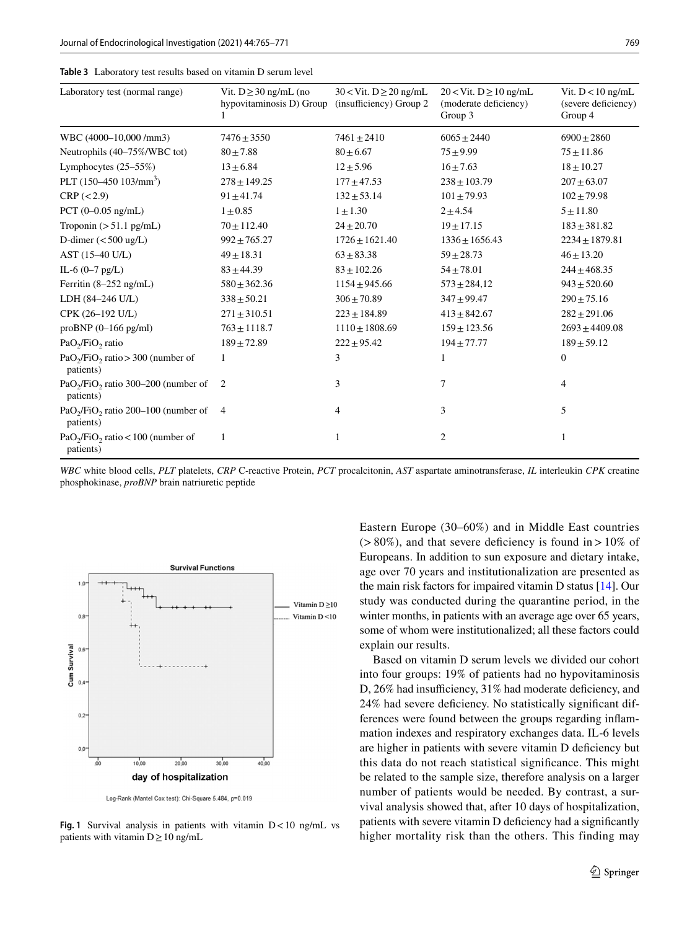<span id="page-4-0"></span>

| Table 3 Laboratory test results based on vitamin D serum level |  |
|----------------------------------------------------------------|--|
|----------------------------------------------------------------|--|

| Laboratory test (normal range)                                           | Vit. $D \geq 30$ ng/mL (no<br>hypovitaminosis D) Group | $30 <$ Vit. D $\geq$ 20 ng/mL<br>(insufficiency) Group 2 | $20 <$ Vit. $D \ge 10$ ng/mL<br>(moderate deficiency)<br>Group 3 | Vit. $D < 10$ ng/mL<br>(severe deficiency)<br>Group 4 |
|--------------------------------------------------------------------------|--------------------------------------------------------|----------------------------------------------------------|------------------------------------------------------------------|-------------------------------------------------------|
| WBC (4000-10,000 /mm3)                                                   | $7476 \pm 3550$                                        | $7461 \pm 2410$                                          | $6065 \pm 2440$                                                  | $6900 \pm 2860$                                       |
| Neutrophils (40–75%/WBC tot)                                             | $80 + 7.88$                                            | $80 + 6.67$                                              | $75 + 9.99$                                                      | $75 \pm 11.86$                                        |
| Lymphocytes $(25-55%)$                                                   | $13 + 6.84$                                            | $12 + 5.96$                                              | $16 + 7.63$                                                      | $18 \pm 10.27$                                        |
| PLT $(150-450 103/\text{mm}^3)$                                          | $278 \pm 149.25$                                       | $177 \pm 47.53$                                          | $238 \pm 103.79$                                                 | $207 \pm 63.07$                                       |
| CRP (< 2.9)                                                              | $91 \pm 41.74$                                         | $132 \pm 53.14$                                          | $101 \pm 79.93$                                                  | $102 \pm 79.98$                                       |
| PCT (0-0.05 ng/mL)                                                       | $1 + 0.85$                                             | $1 \pm 1.30$                                             | $2 + 4.54$                                                       | $5 + 11.80$                                           |
| Troponin $(> 51.1$ pg/mL)                                                | $70 \pm 112.40$                                        | $24 \pm 20.70$                                           | $19 + 17.15$                                                     | $183 \pm 381.82$                                      |
| D-dimer $(<500 \text{ ug/L})$                                            | $992 \pm 765.27$                                       | $1726 \pm 1621.40$                                       | $1336 \pm 1656.43$                                               | $2234 \pm 1879.81$                                    |
| AST (15-40 U/L)                                                          | $49 \pm 18.31$                                         | $63 \pm 83.38$                                           | $59 + 28.73$                                                     | $46 \pm 13.20$                                        |
| IL-6 $(0-7$ pg/L)                                                        | $83 + 44.39$                                           | $83 \pm 102.26$                                          | $54 + 78.01$                                                     | $244 \pm 468.35$                                      |
| Ferritin (8-252 ng/mL)                                                   | $580 \pm 362.36$                                       | $1154 \pm 945.66$                                        | $573 \pm 284,12$                                                 | $943 \pm 520.60$                                      |
| LDH (84-246 U/L)                                                         | $338 \pm 50.21$                                        | $306 \pm 70.89$                                          | $347 + 99.47$                                                    | $290 \pm 75.16$                                       |
| CPK (26-192 U/L)                                                         | $271 \pm 310.51$                                       | $223 \pm 184.89$                                         | $413 \pm 842.67$                                                 | $282 \pm 291.06$                                      |
| $proBNP (0-166 pg/ml)$                                                   | $763 \pm 1118.7$                                       | $1110 \pm 1808.69$                                       | $159 \pm 123.56$                                                 | $2693 \pm 4409.08$                                    |
| PaO <sub>2</sub> /FiO <sub>2</sub> ratio                                 | $189 \pm 72.89$                                        | $222 \pm 95.42$                                          | $194 + 77.77$                                                    | $189 + 59.12$                                         |
| $PaO2/FiO2 ratio > 300 (number of)$<br>patients)                         | 1                                                      | 3                                                        | 1                                                                | $\mathbf{0}$                                          |
| PaO <sub>2</sub> /FiO <sub>2</sub> ratio 300–200 (number of<br>patients) | 2                                                      | 3                                                        | 7                                                                | 4                                                     |
| PaO <sub>2</sub> /FiO <sub>2</sub> ratio 200–100 (number of<br>patients) | 4                                                      | 4                                                        | 3                                                                | 5                                                     |
| PaO <sub>2</sub> /FiO <sub>2</sub> ratio < 100 (number of<br>patients)   | 1                                                      |                                                          | $\overline{2}$                                                   | 1                                                     |

*WBC* white blood cells, *PLT* platelets, *CRP* C-reactive Protein, *PCT* procalcitonin, *AST* aspartate aminotransferase, *IL* interleukin *CPK* creatine phosphokinase, *proBNP* brain natriuretic peptide



Log-Rank (Mantel Cox test): Chi-Square 5.484, p=0.019

<span id="page-4-1"></span>**Fig. 1** Survival analysis in patients with vitamin D<10 ng/mL vs patients with vitamin D≥10 ng/mL

Eastern Europe (30–60%) and in Middle East countries  $(>80\%)$ , and that severe deficiency is found in  $>10\%$  of Europeans. In addition to sun exposure and dietary intake, age over 70 years and institutionalization are presented as the main risk factors for impaired vitamin D status [[14\]](#page-6-12). Our study was conducted during the quarantine period, in the winter months, in patients with an average age over 65 years, some of whom were institutionalized; all these factors could explain our results.

Based on vitamin D serum levels we divided our cohort into four groups: 19% of patients had no hypovitaminosis D, 26% had insufficiency, 31% had moderate deficiency, and 24% had severe defciency. No statistically signifcant differences were found between the groups regarding infammation indexes and respiratory exchanges data. IL-6 levels are higher in patients with severe vitamin D defciency but this data do not reach statistical signifcance. This might be related to the sample size, therefore analysis on a larger number of patients would be needed. By contrast, a survival analysis showed that, after 10 days of hospitalization, patients with severe vitamin D defciency had a signifcantly higher mortality risk than the others. This finding may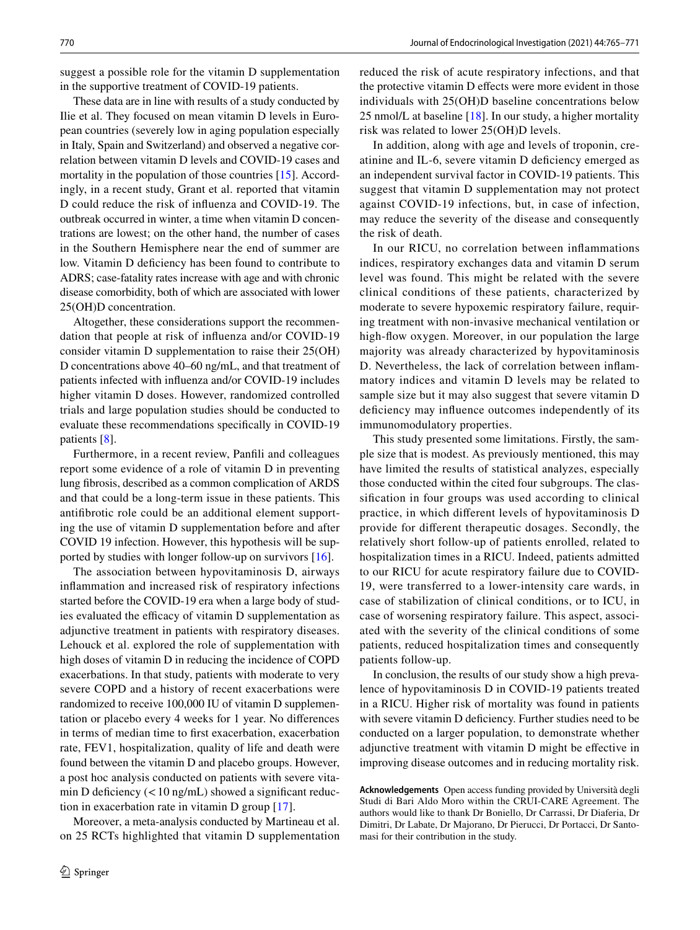These data are in line with results of a study conducted by Ilie et al. They focused on mean vitamin D levels in European countries (severely low in aging population especially in Italy, Spain and Switzerland) and observed a negative correlation between vitamin D levels and COVID-19 cases and mortality in the population of those countries [\[15](#page-6-13)]. Accordingly, in a recent study, Grant et al. reported that vitamin D could reduce the risk of infuenza and COVID-19. The outbreak occurred in winter, a time when vitamin D concentrations are lowest; on the other hand, the number of cases in the Southern Hemisphere near the end of summer are low. Vitamin D deficiency has been found to contribute to ADRS; case-fatality rates increase with age and with chronic disease comorbidity, both of which are associated with lower 25(OH)D concentration.

Altogether, these considerations support the recommendation that people at risk of infuenza and/or COVID-19 consider vitamin D supplementation to raise their 25(OH) D concentrations above 40–60 ng/mL, and that treatment of patients infected with infuenza and/or COVID-19 includes higher vitamin D doses. However, randomized controlled trials and large population studies should be conducted to evaluate these recommendations specifcally in COVID-19 patients [\[8](#page-6-6)].

Furthermore, in a recent review, Panfli and colleagues report some evidence of a role of vitamin D in preventing lung fbrosis, described as a common complication of ARDS and that could be a long-term issue in these patients. This antifbrotic role could be an additional element supporting the use of vitamin D supplementation before and after COVID 19 infection. However, this hypothesis will be supported by studies with longer follow-up on survivors [\[16\]](#page-6-14).

The association between hypovitaminosis D, airways infammation and increased risk of respiratory infections started before the COVID-19 era when a large body of studies evaluated the efficacy of vitamin D supplementation as adjunctive treatment in patients with respiratory diseases. Lehouck et al. explored the role of supplementation with high doses of vitamin D in reducing the incidence of COPD exacerbations. In that study, patients with moderate to very severe COPD and a history of recent exacerbations were randomized to receive 100,000 IU of vitamin D supplementation or placebo every 4 weeks for 1 year. No diferences in terms of median time to frst exacerbation, exacerbation rate, FEV1, hospitalization, quality of life and death were found between the vitamin D and placebo groups. However, a post hoc analysis conducted on patients with severe vitamin D deficiency  $(< 10$  ng/mL) showed a significant reduction in exacerbation rate in vitamin D group [[17\]](#page-6-15).

Moreover, a meta-analysis conducted by Martineau et al. on 25 RCTs highlighted that vitamin D supplementation reduced the risk of acute respiratory infections, and that the protective vitamin D efects were more evident in those individuals with 25(OH)D baseline concentrations below 25 nmol/L at baseline [[18\]](#page-6-16). In our study, a higher mortality risk was related to lower 25(OH)D levels.

In addition, along with age and levels of troponin, creatinine and IL-6, severe vitamin D defciency emerged as an independent survival factor in COVID-19 patients. This suggest that vitamin D supplementation may not protect against COVID-19 infections, but, in case of infection, may reduce the severity of the disease and consequently the risk of death.

In our RICU, no correlation between infammations indices, respiratory exchanges data and vitamin D serum level was found. This might be related with the severe clinical conditions of these patients, characterized by moderate to severe hypoxemic respiratory failure, requiring treatment with non-invasive mechanical ventilation or high-flow oxygen. Moreover, in our population the large majority was already characterized by hypovitaminosis D. Nevertheless, the lack of correlation between infammatory indices and vitamin D levels may be related to sample size but it may also suggest that severe vitamin D deficiency may influence outcomes independently of its immunomodulatory properties.

This study presented some limitations. Firstly, the sample size that is modest. As previously mentioned, this may have limited the results of statistical analyzes, especially those conducted within the cited four subgroups. The classifcation in four groups was used according to clinical practice, in which diferent levels of hypovitaminosis D provide for diferent therapeutic dosages. Secondly, the relatively short follow-up of patients enrolled, related to hospitalization times in a RICU. Indeed, patients admitted to our RICU for acute respiratory failure due to COVID-19, were transferred to a lower-intensity care wards, in case of stabilization of clinical conditions, or to ICU, in case of worsening respiratory failure. This aspect, associated with the severity of the clinical conditions of some patients, reduced hospitalization times and consequently patients follow-up.

In conclusion, the results of our study show a high prevalence of hypovitaminosis D in COVID-19 patients treated in a RICU. Higher risk of mortality was found in patients with severe vitamin D deficiency. Further studies need to be conducted on a larger population, to demonstrate whether adjunctive treatment with vitamin D might be efective in improving disease outcomes and in reducing mortality risk.

**Acknowledgements** Open access funding provided by Università degli Studi di Bari Aldo Moro within the CRUI-CARE Agreement. The authors would like to thank Dr Boniello, Dr Carrassi, Dr Diaferia, Dr Dimitri, Dr Labate, Dr Majorano, Dr Pierucci, Dr Portacci, Dr Santomasi for their contribution in the study.